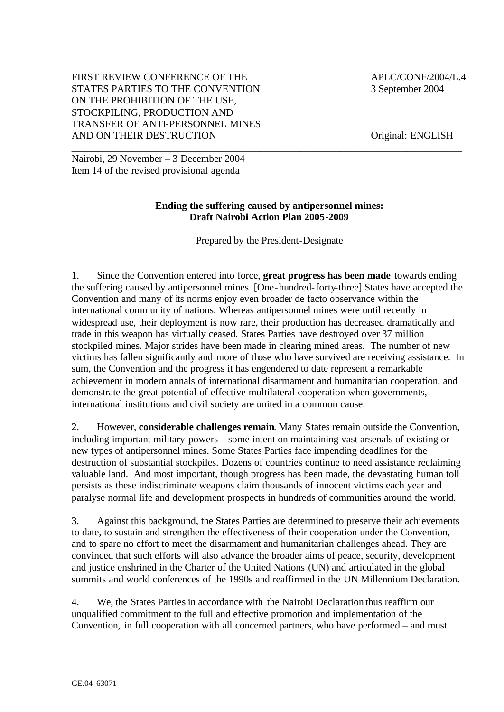### FIRST REVIEW CONFERENCE OF THE  $APLC/CONF/2004/L.4$ STATES PARTIES TO THE CONVENTION 3 September 2004 ON THE PROHIBITION OF THE USE, STOCKPILING, PRODUCTION AND TRANSFER OF ANTI-PERSONNEL MINES AND ON THEIR DESTRUCTION Original: ENGLISH

\_\_\_\_\_\_\_\_\_\_\_\_\_\_\_\_\_\_\_\_\_\_\_\_\_\_\_\_\_\_\_\_\_\_\_\_\_\_\_\_\_\_\_\_\_\_\_\_\_\_\_\_\_\_\_\_\_\_\_\_\_\_\_\_\_\_\_\_\_\_\_\_\_\_\_\_\_ Nairobi, 29 November – 3 December 2004 Item 14 of the revised provisional agenda

### **Ending the suffering caused by antipersonnel mines: Draft Nairobi Action Plan 2005-2009**

Prepared by the President-Designate

1. Since the Convention entered into force, **great progress has been made** towards ending the suffering caused by antipersonnel mines. [One-hundred-forty-three] States have accepted the Convention and many of its norms enjoy even broader de facto observance within the international community of nations. Whereas antipersonnel mines were until recently in widespread use, their deployment is now rare, their production has decreased dramatically and trade in this weapon has virtually ceased. States Parties have destroyed over 37 million stockpiled mines. Major strides have been made in clearing mined areas. The number of new victims has fallen significantly and more of those who have survived are receiving assistance. In sum, the Convention and the progress it has engendered to date represent a remarkable achievement in modern annals of international disarmament and humanitarian cooperation, and demonstrate the great potential of effective multilateral cooperation when governments, international institutions and civil society are united in a common cause.

2. However, **considerable challenges remain**. Many States remain outside the Convention, including important military powers – some intent on maintaining vast arsenals of existing or new types of antipersonnel mines. Some States Parties face impending deadlines for the destruction of substantial stockpiles. Dozens of countries continue to need assistance reclaiming valuable land. And most important, though progress has been made, the devastating human toll persists as these indiscriminate weapons claim thousands of innocent victims each year and paralyse normal life and development prospects in hundreds of communities around the world.

3. Against this background, the States Parties are determined to preserve their achievements to date, to sustain and strengthen the effectiveness of their cooperation under the Convention, and to spare no effort to meet the disarmament and humanitarian challenges ahead. They are convinced that such efforts will also advance the broader aims of peace, security, development and justice enshrined in the Charter of the United Nations (UN) and articulated in the global summits and world conferences of the 1990s and reaffirmed in the UN Millennium Declaration.

4. We, the States Parties in accordance with the Nairobi Declaration thus reaffirm our unqualified commitment to the full and effective promotion and implementation of the Convention, in full cooperation with all concerned partners, who have performed – and must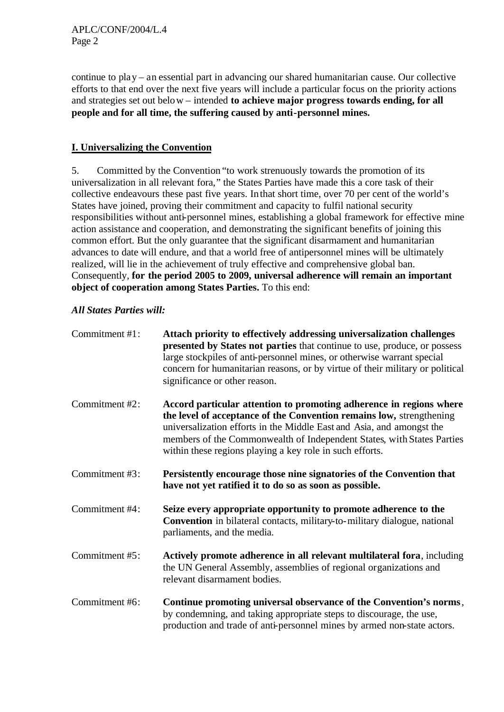continue to play – an essential part in advancing our shared humanitarian cause. Our collective efforts to that end over the next five years will include a particular focus on the priority actions and strategies set out below – intended **to achieve major progress towards ending, for all people and for all time, the suffering caused by anti-personnel mines.** 

# **I. Universalizing the Convention**

5. Committed by the Convention "to work strenuously towards the promotion of its universalization in all relevant fora," the States Parties have made this a core task of their collective endeavours these past five years. In that short time, over 70 per cent of the world's States have joined, proving their commitment and capacity to fulfil national security responsibilities without anti-personnel mines, establishing a global framework for effective mine action assistance and cooperation, and demonstrating the significant benefits of joining this common effort. But the only guarantee that the significant disarmament and humanitarian advances to date will endure, and that a world free of antipersonnel mines will be ultimately realized, will lie in the achievement of truly effective and comprehensive global ban. Consequently, **for the period 2005 to 2009, universal adherence will remain an important object of cooperation among States Parties.** To this end:

| Commitment #1: | Attach priority to effectively addressing universalization challenges<br>presented by States not parties that continue to use, produce, or possess<br>large stockpiles of anti-personnel mines, or otherwise warrant special<br>concern for humanitarian reasons, or by virtue of their military or political<br>significance or other reason.             |
|----------------|------------------------------------------------------------------------------------------------------------------------------------------------------------------------------------------------------------------------------------------------------------------------------------------------------------------------------------------------------------|
| Commitment #2: | Accord particular attention to promoting adherence in regions where<br>the level of acceptance of the Convention remains low, strengthening<br>universalization efforts in the Middle East and Asia, and amongst the<br>members of the Commonwealth of Independent States, with States Parties<br>within these regions playing a key role in such efforts. |
| Commitment #3: | Persistently encourage those nine signatories of the Convention that<br>have not yet ratified it to do so as soon as possible.                                                                                                                                                                                                                             |
| Commitment #4: | Seize every appropriate opportunity to promote adherence to the<br><b>Convention</b> in bilateral contacts, military-to-military dialogue, national<br>parliaments, and the media.                                                                                                                                                                         |
| Commitment #5: | Actively promote adherence in all relevant multilateral fora, including<br>the UN General Assembly, assemblies of regional organizations and<br>relevant disarmament bodies.                                                                                                                                                                               |
| Commitment #6: | Continue promoting universal observance of the Convention's norms,<br>by condemning, and taking appropriate steps to discourage, the use,<br>production and trade of anti-personnel mines by armed non-state actors.                                                                                                                                       |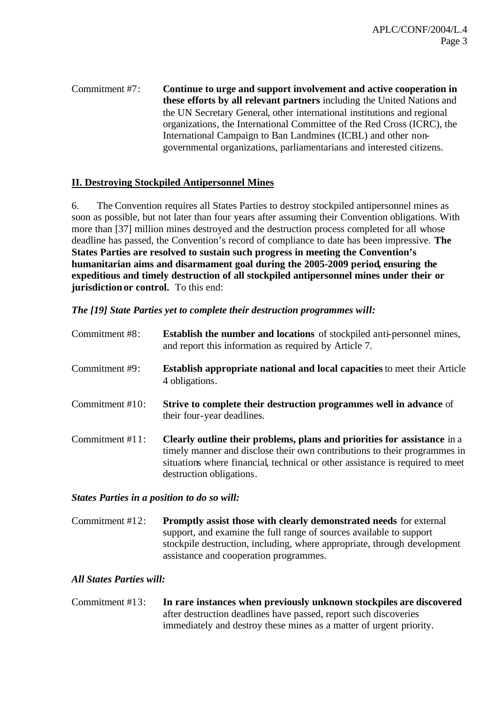Commitment #7: **Continue to urge and support involvement and active cooperation in these efforts by all relevant partners** including the United Nations and the UN Secretary General, other international institutions and regional organizations, the International Committee of the Red Cross (ICRC), the International Campaign to Ban Landmines (ICBL) and other nongovernmental organizations, parliamentarians and interested citizens.

## **II. Destroying Stockpiled Antipersonnel Mines**

6. The Convention requires all States Parties to destroy stockpiled antipersonnel mines as soon as possible, but not later than four years after assuming their Convention obligations. With more than [37] million mines destroyed and the destruction process completed for all whose deadline has passed, the Convention's record of compliance to date has been impressive. **The States Parties are resolved to sustain such progress in meeting the Convention's humanitarian aims and disarmament goal during the 2005-2009 period, ensuring the expeditious and timely destruction of all stockpiled antipersonnel mines under their or jurisdiction or control.** To this end:

*The [19] State Parties yet to complete their destruction programmes will:*

| Commitment #8:  | <b>Establish the number and locations</b> of stockpiled anti-personnel mines,<br>and report this information as required by Article 7.                                                                                                                             |
|-----------------|--------------------------------------------------------------------------------------------------------------------------------------------------------------------------------------------------------------------------------------------------------------------|
| Commitment #9:  | <b>Establish appropriate national and local capacities to meet their Article</b><br>4 obligations.                                                                                                                                                                 |
| Commitment #10: | <b>Strive to complete their destruction programmes well in advance of</b><br>their four-year deadlines.                                                                                                                                                            |
| Commitment #11: | Clearly outline their problems, plans and priorities for assistance in a<br>timely manner and disclose their own contributions to their programmes in<br>situations where financial, technical or other assistance is required to meet<br>destruction obligations. |

#### *States Parties in a position to do so will:*

Commitment #12: **Promptly assist those with clearly demonstrated needs** for external support, and examine the full range of sources available to support stockpile destruction, including, where appropriate, through development assistance and cooperation programmes.

## *All States Parties will:*

Commitment #13: **In rare instances when previously unknown stockpiles are discovered**  after destruction deadlines have passed, report such discoveries immediately and destroy these mines as a matter of urgent priority.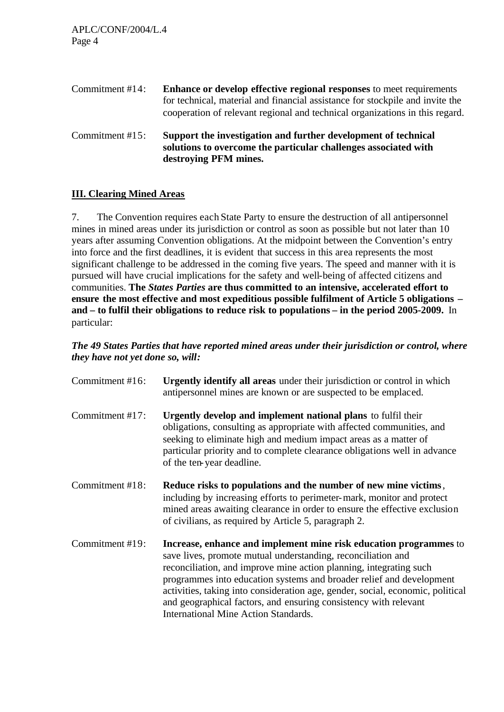APLC/CONF/2004/L.4 Page 4

Commitment #14: **Enhance or develop effective regional responses** to meet requirements for technical, material and financial assistance for stockpile and invite the cooperation of relevant regional and technical organizations in this regard.

Commitment #15: **Support the investigation and further development of technical solutions to overcome the particular challenges associated with destroying PFM mines.**

## **III. Clearing Mined Areas**

7. The Convention requires each State Party to ensure the destruction of all antipersonnel mines in mined areas under its jurisdiction or control as soon as possible but not later than 10 years after assuming Convention obligations. At the midpoint between the Convention's entry into force and the first deadlines, it is evident that success in this area represents the most significant challenge to be addressed in the coming five years. The speed and manner with it is pursued will have crucial implications for the safety and well-being of affected citizens and communities. **The** *States Parties* **are thus committed to an intensive, accelerated effort to ensure the most effective and most expeditious possible fulfilment of Article 5 obligations – and – to fulfil their obligations to reduce risk to populations – in the period 2005-2009.** In particular:

*The 49 States Parties that have reported mined areas under their jurisdiction or control, where they have not yet done so, will:*

| Commitment #16: | <b>Urgently identify all areas</b> under their jurisdiction or control in which<br>antipersonnel mines are known or are suspected to be emplaced.                                                                                                                                                                                                                                                                                                                                    |
|-----------------|--------------------------------------------------------------------------------------------------------------------------------------------------------------------------------------------------------------------------------------------------------------------------------------------------------------------------------------------------------------------------------------------------------------------------------------------------------------------------------------|
| Commitment #17: | Urgently develop and implement national plans to fulfil their<br>obligations, consulting as appropriate with affected communities, and<br>seeking to eliminate high and medium impact areas as a matter of<br>particular priority and to complete clearance obligations well in advance<br>of the ten-year deadline.                                                                                                                                                                 |
| Commitment #18: | Reduce risks to populations and the number of new mine victims,<br>including by increasing efforts to perimeter-mark, monitor and protect<br>mined areas awaiting clearance in order to ensure the effective exclusion<br>of civilians, as required by Article 5, paragraph 2.                                                                                                                                                                                                       |
| Commitment #19: | Increase, enhance and implement mine risk education programmes to<br>save lives, promote mutual understanding, reconciliation and<br>reconciliation, and improve mine action planning, integrating such<br>programmes into education systems and broader relief and development<br>activities, taking into consideration age, gender, social, economic, political<br>and geographical factors, and ensuring consistency with relevant<br><b>International Mine Action Standards.</b> |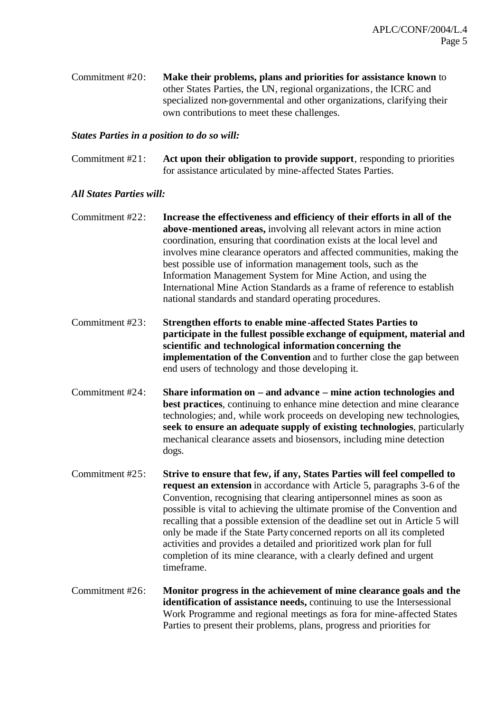Commitment #20: **Make their problems, plans and priorities for assistance known** to other States Parties, the UN, regional organizations, the ICRC and specialized non-governmental and other organizations, clarifying their own contributions to meet these challenges.

#### *States Parties in a position to do so will:*

Commitment #21: **Act upon their obligation to provide support**, responding to priorities for assistance articulated by mine-affected States Parties.

- Commitment #22: **Increase the effectiveness and efficiency of their efforts in all of the above-mentioned areas,** involving all relevant actors in mine action coordination, ensuring that coordination exists at the local level and involves mine clearance operators and affected communities, making the best possible use of information management tools, such as the Information Management System for Mine Action, and using the International Mine Action Standards as a frame of reference to establish national standards and standard operating procedures.
- Commitment #23: **Strengthen efforts to enable mine -affected States Parties to participate in the fullest possible exchange of equipment, material and scientific and technological information concerning the implementation of the Convention** and to further close the gap between end users of technology and those developing it.
- Commitment #24: **Share information on and advance mine action technologies and best practices**, continuing to enhance mine detection and mine clearance technologies; and, while work proceeds on developing new technologies, **seek to ensure an adequate supply of existing technologies**, particularly mechanical clearance assets and biosensors, including mine detection dogs.
- Commitment #25: **Strive to ensure that few, if any, States Parties will feel compelled to request an extension** in accordance with Article 5, paragraphs 3-6 of the Convention, recognising that clearing antipersonnel mines as soon as possible is vital to achieving the ultimate promise of the Convention and recalling that a possible extension of the deadline set out in Article 5 will only be made if the State Party concerned reports on all its completed activities and provides a detailed and prioritized work plan for full completion of its mine clearance, with a clearly defined and urgent timeframe.
- Commitment #26: **Monitor progress in the achievement of mine clearance goals and the identification of assistance needs,** continuing to use the Intersessional Work Programme and regional meetings as fora for mine-affected States Parties to present their problems, plans, progress and priorities for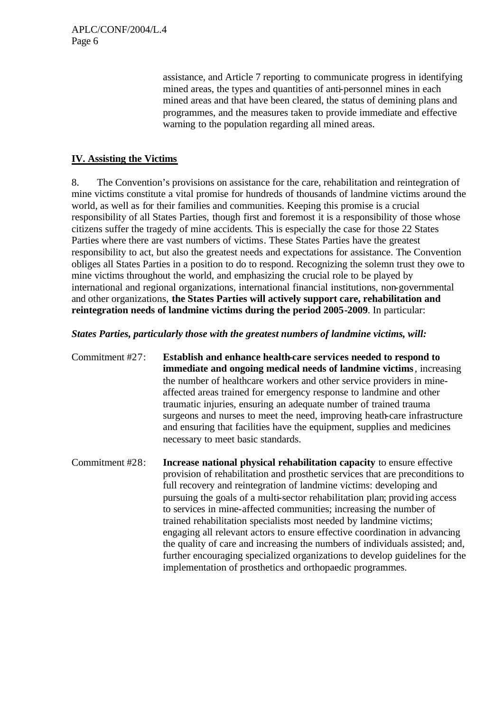assistance, and Article 7 reporting to communicate progress in identifying mined areas, the types and quantities of anti-personnel mines in each mined areas and that have been cleared, the status of demining plans and programmes, and the measures taken to provide immediate and effective warning to the population regarding all mined areas.

## **IV. Assisting the Victims**

8. The Convention's provisions on assistance for the care, rehabilitation and reintegration of mine victims constitute a vital promise for hundreds of thousands of landmine victims around the world, as well as for their families and communities. Keeping this promise is a crucial responsibility of all States Parties, though first and foremost it is a responsibility of those whose citizens suffer the tragedy of mine accidents. This is especially the case for those 22 States Parties where there are vast numbers of victims. These States Parties have the greatest responsibility to act, but also the greatest needs and expectations for assistance. The Convention obliges all States Parties in a position to do to respond. Recognizing the solemn trust they owe to mine victims throughout the world, and emphasizing the crucial role to be played by international and regional organizations, international financial institutions, non-governmental and other organizations, **the States Parties will actively support care, rehabilitation and reintegration needs of landmine victims during the period 2005-2009**. In particular:

*States Parties, particularly those with the greatest numbers of landmine victims, will:* 

- Commitment #27: **Establish and enhance health-care services needed to respond to immediate and ongoing medical needs of landmine victims**, increasing the number of healthcare workers and other service providers in mineaffected areas trained for emergency response to landmine and other traumatic injuries, ensuring an adequate number of trained trauma surgeons and nurses to meet the need, improving heath-care infrastructure and ensuring that facilities have the equipment, supplies and medicines necessary to meet basic standards.
- Commitment #28: **Increase national physical rehabilitation capacity** to ensure effective provision of rehabilitation and prosthetic services that are preconditions to full recovery and reintegration of landmine victims: developing and pursuing the goals of a multi-sector rehabilitation plan; providing access to services in mine-affected communities; increasing the number of trained rehabilitation specialists most needed by landmine victims; engaging all relevant actors to ensure effective coordination in advancing the quality of care and increasing the numbers of individuals assisted; and, further encouraging specialized organizations to develop guidelines for the implementation of prosthetics and orthopaedic programmes.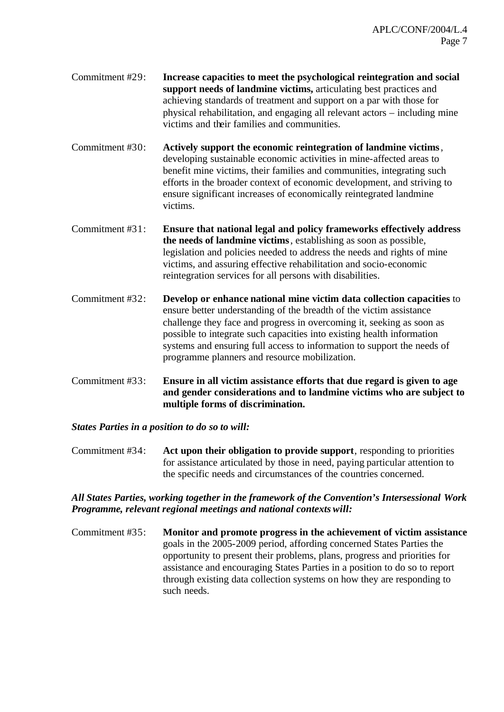- Commitment #29: **Increase capacities to meet the psychological reintegration and social support needs of landmine victims,** articulating best practices and achieving standards of treatment and support on a par with those for physical rehabilitation, and engaging all relevant actors – including mine victims and their families and communities.
- Commitment #30: **Actively support the economic reintegration of landmine victims**, developing sustainable economic activities in mine-affected areas to benefit mine victims, their families and communities, integrating such efforts in the broader context of economic development, and striving to ensure significant increases of economically reintegrated landmine victims.
- Commitment #31: **Ensure that national legal and policy frameworks effectively address the needs of landmine victims**, establishing as soon as possible, legislation and policies needed to address the needs and rights of mine victims, and assuring effective rehabilitation and socio-economic reintegration services for all persons with disabilities.
- Commitment #32: **Develop or enhance national mine victim data collection capacities** to ensure better understanding of the breadth of the victim assistance challenge they face and progress in overcoming it, seeking as soon as possible to integrate such capacities into existing health information systems and ensuring full access to information to support the needs of programme planners and resource mobilization.
- Commitment #33: **Ensure in all victim assistance efforts that due regard is given to age and gender considerations and to landmine victims who are subject to multiple forms of discrimination.**

## *States Parties in a position to do so to will:*

Commitment #34: **Act upon their obligation to provide support**, responding to priorities for assistance articulated by those in need, paying particular attention to the specific needs and circumstances of the countries concerned.

### *All States Parties, working together in the framework of the Convention's Intersessional Work Programme, relevant regional meetings and national contexts will:*

Commitment #35: **Monitor and promote progress in the achievement of victim assistance**  goals in the 2005-2009 period, affording concerned States Parties the opportunity to present their problems, plans, progress and priorities for assistance and encouraging States Parties in a position to do so to report through existing data collection systems on how they are responding to such needs.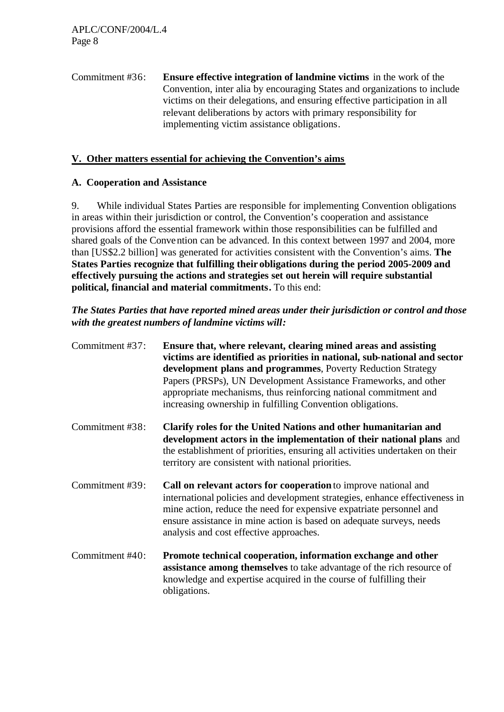Commitment #36: **Ensure effective integration of landmine victims** in the work of the Convention, inter alia by encouraging States and organizations to include victims on their delegations, and ensuring effective participation in all relevant deliberations by actors with primary responsibility for implementing victim assistance obligations.

## **V. Other matters essential for achieving the Convention's aims**

## **A. Cooperation and Assistance**

9. While individual States Parties are responsible for implementing Convention obligations in areas within their jurisdiction or control, the Convention's cooperation and assistance provisions afford the essential framework within those responsibilities can be fulfilled and shared goals of the Convention can be advanced. In this context between 1997 and 2004, more than [US\$2.2 billion] was generated for activities consistent with the Convention's aims. **The States Parties recognize that fulfilling their obligations during the period 2005-2009 and effectively pursuing the actions and strategies set out herein will require substantial political, financial and material commitments.** To this end:

*The States Parties that have reported mined areas under their jurisdiction or control and those with the greatest numbers of landmine victims will:*

| Commitment #37: | Ensure that, where relevant, clearing mined areas and assisting<br>victims are identified as priorities in national, sub-national and sector<br>development plans and programmes, Poverty Reduction Strategy<br>Papers (PRSPs), UN Development Assistance Frameworks, and other<br>appropriate mechanisms, thus reinforcing national commitment and<br>increasing ownership in fulfilling Convention obligations. |
|-----------------|-------------------------------------------------------------------------------------------------------------------------------------------------------------------------------------------------------------------------------------------------------------------------------------------------------------------------------------------------------------------------------------------------------------------|
| Commitment #38: | Clarify roles for the United Nations and other humanitarian and<br>development actors in the implementation of their national plans and<br>the establishment of priorities, ensuring all activities undertaken on their<br>territory are consistent with national priorities.                                                                                                                                     |
| Commitment #39: | Call on relevant actors for cooperation to improve national and<br>international policies and development strategies, enhance effectiveness in<br>mine action, reduce the need for expensive expatriate personnel and<br>ensure assistance in mine action is based on adequate surveys, needs<br>analysis and cost effective approaches.                                                                          |
| Commitment #40: | Promote technical cooperation, information exchange and other<br>assistance among themselves to take advantage of the rich resource of<br>knowledge and expertise acquired in the course of fulfilling their<br>obligations.                                                                                                                                                                                      |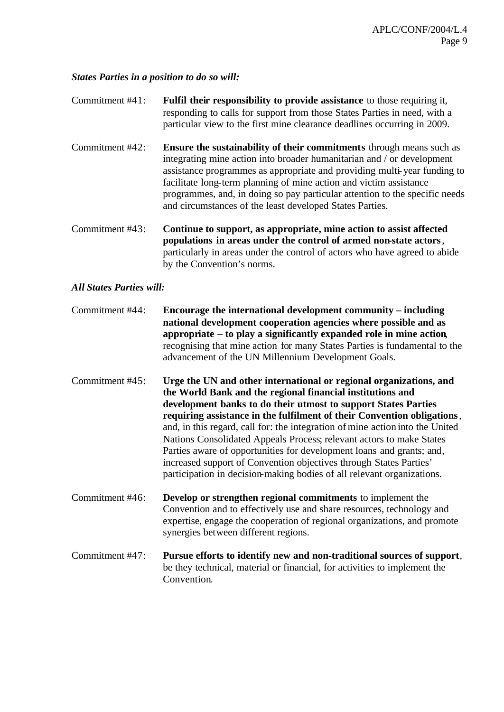#### *States Parties in a position to do so will:*

- Commitment #41: **Fulfil their responsibility to provide assistance** to those requiring it, responding to calls for support from those States Parties in need, with a particular view to the first mine clearance deadlines occurring in 2009.
- Commitment #42: **Ensure the sustainability of their commitments** through means such as integrating mine action into broader humanitarian and / or development assistance programmes as appropriate and providing multi-year funding to facilitate long-term planning of mine action and victim assistance programmes, and, in doing so pay particular attention to the specific needs and circumstances of the least developed States Parties.
- Commitment #43: **Continue to support, as appropriate, mine action to assist affected populations in areas under the control of armed non-state actors**, particularly in areas under the control of actors who have agreed to abide by the Convention's norms.

- Commitment #44: **Encourage the international development community including national development cooperation agencies where possible and as appropriate – to play a significantly expanded role in mine action**, recognising that mine action for many States Parties is fundamental to the advancement of the UN Millennium Development Goals.
- Commitment #45: **Urge the UN and other international or regional organizations, and the World Bank and the regional financial institutions and development banks to do their utmost to support States Parties requiring assistance in the fulfilment of their Convention obligations**, and, in this regard, call for: the integration of mine action into the United Nations Consolidated Appeals Process; relevant actors to make States Parties aware of opportunities for development loans and grants; and, increased support of Convention objectives through States Parties' participation in decision-making bodies of all relevant organizations.
- Commitment #46: **Develop or strengthen regional commitments** to implement the Convention and to effectively use and share resources, technology and expertise, engage the cooperation of regional organizations, and promote synergies between different regions.
- Commitment #47: **Pursue efforts to identify new and non-traditional sources of support**, be they technical, material or financial, for activities to implement the Convention.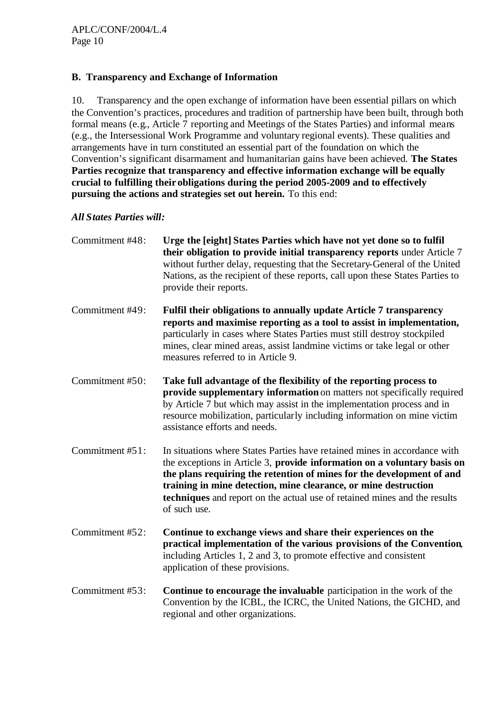# **B. Transparency and Exchange of Information**

10. Transparency and the open exchange of information have been essential pillars on which the Convention's practices, procedures and tradition of partnership have been built, through both formal means (e.g., Article 7 reporting and Meetings of the States Parties) and informal means (e.g., the Intersessional Work Programme and voluntary regional events). These qualities and arrangements have in turn constituted an essential part of the foundation on which the Convention's significant disarmament and humanitarian gains have been achieved. **The States Parties recognize that transparency and effective information exchange will be equally crucial to fulfilling their obligations during the period 2005-2009 and to effectively pursuing the actions and strategies set out herein.** To this end:

| Commitment #48: | Urge the [eight] States Parties which have not yet done so to fulfil<br>their obligation to provide initial transparency reports under Article 7<br>without further delay, requesting that the Secretary-General of the United<br>Nations, as the recipient of these reports, call upon these States Parties to<br>provide their reports.                                                      |
|-----------------|------------------------------------------------------------------------------------------------------------------------------------------------------------------------------------------------------------------------------------------------------------------------------------------------------------------------------------------------------------------------------------------------|
| Commitment #49: | Fulfil their obligations to annually update Article 7 transparency<br>reports and maximise reporting as a tool to assist in implementation,<br>particularly in cases where States Parties must still destroy stockpiled<br>mines, clear mined areas, assist landmine victims or take legal or other<br>measures referred to in Article 9.                                                      |
| Commitment #50: | Take full advantage of the flexibility of the reporting process to<br>provide supplementary information on matters not specifically required<br>by Article 7 but which may assist in the implementation process and in<br>resource mobilization, particularly including information on mine victim<br>assistance efforts and needs.                                                            |
| Commitment #51: | In situations where States Parties have retained mines in accordance with<br>the exceptions in Article 3, provide information on a voluntary basis on<br>the plans requiring the retention of mines for the development of and<br>training in mine detection, mine clearance, or mine destruction<br>techniques and report on the actual use of retained mines and the results<br>of such use. |
| Commitment #52: | Continue to exchange views and share their experiences on the<br>practical implementation of the various provisions of the Convention,<br>including Articles 1, 2 and 3, to promote effective and consistent<br>application of these provisions.                                                                                                                                               |
| Commitment #53: | Continue to encourage the invaluable participation in the work of the<br>Convention by the ICBL, the ICRC, the United Nations, the GICHD, and<br>regional and other organizations.                                                                                                                                                                                                             |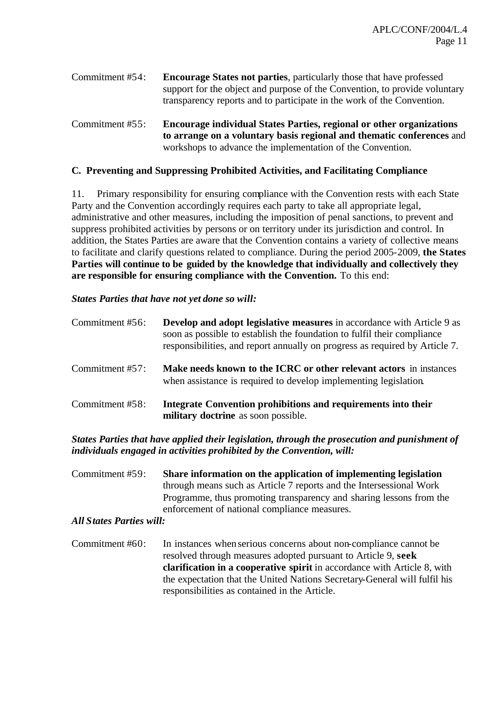Commitment #54: **Encourage States not parties**, particularly those that have professed support for the object and purpose of the Convention, to provide voluntary transparency reports and to participate in the work of the Convention.

Commitment #55: **Encourage individual States Parties, regional or other organizations to arrange on a voluntary basis regional and thematic conferences** and workshops to advance the implementation of the Convention.

### **C. Preventing and Suppressing Prohibited Activities, and Facilitating Compliance**

11. Primary responsibility for ensuring compliance with the Convention rests with each State Party and the Convention accordingly requires each party to take all appropriate legal, administrative and other measures, including the imposition of penal sanctions, to prevent and suppress prohibited activities by persons or on territory under its jurisdiction and control. In addition, the States Parties are aware that the Convention contains a variety of collective means to facilitate and clarify questions related to compliance. During the period 2005-2009, **the States Parties will continue to be guided by the knowledge that individually and collectively they are responsible for ensuring compliance with the Convention.** To this end:

#### *States Parties that have not yet done so will:*

| Commitment #56: | <b>Develop and adopt legislative measures in accordance with Article 9 as</b><br>soon as possible to establish the foundation to fulfil their compliance<br>responsibilities, and report annually on progress as required by Article 7. |
|-----------------|-----------------------------------------------------------------------------------------------------------------------------------------------------------------------------------------------------------------------------------------|
| Commitment #57: | Make needs known to the ICRC or other relevant actors in instances<br>when assistance is required to develop implementing legislation.                                                                                                  |
| Commitment #58: | Integrate Convention prohibitions and requirements into their<br>military doctrine as soon possible.                                                                                                                                    |

### *States Parties that have applied their legislation, through the prosecution and punishment of individuals engaged in activities prohibited by the Convention, will:*

Commitment #59: **Share information on the application of implementing legislation**  through means such as Article 7 reports and the Intersessional Work Programme, thus promoting transparency and sharing lessons from the enforcement of national compliance measures.

### *All States Parties will:*

Commitment #60: In instances whenserious concerns about non-compliance cannot be resolved through measures adopted pursuant to Article 9, **seek clarification in a cooperative spirit** in accordance with Article 8, with the expectation that the United Nations Secretary-General will fulfil his responsibilities as contained in the Article.